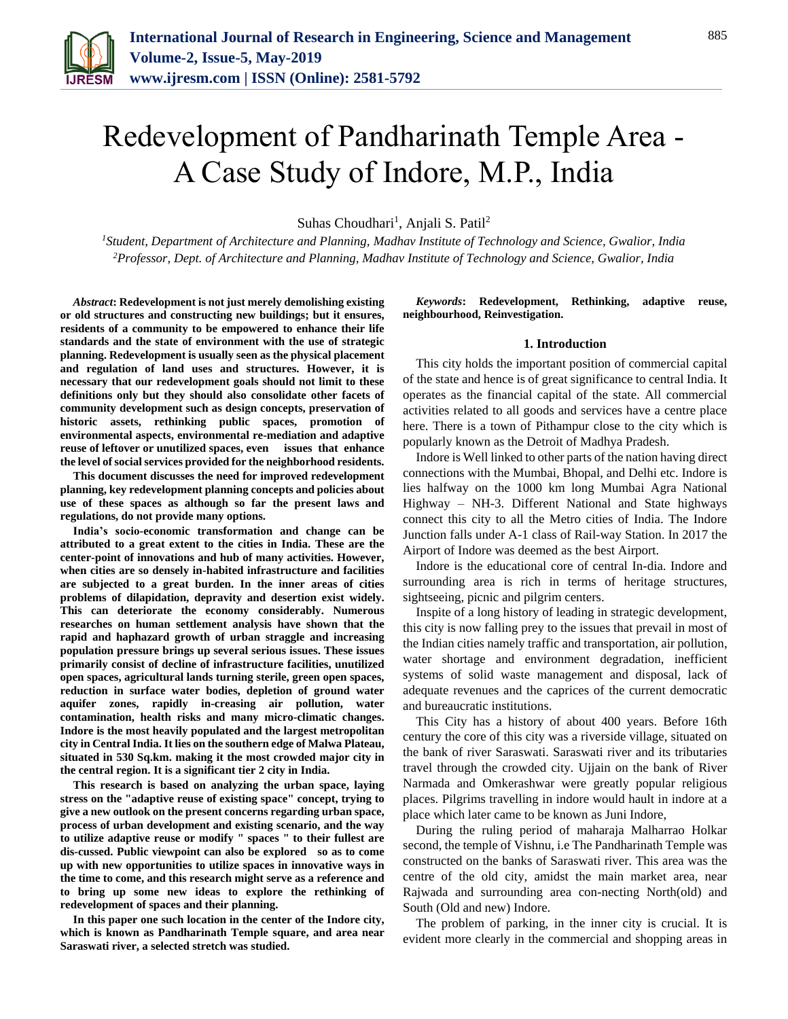

# Redevelopment of Pandharinath Temple Area - A Case Study of Indore, M.P., India

Suhas Choudhari<sup>1</sup>, Anjali S. Patil<sup>2</sup>

*<sup>1</sup>Student, Department of Architecture and Planning, Madhav Institute of Technology and Science, Gwalior, India <sup>2</sup>Professor, Dept. of Architecture and Planning, Madhav Institute of Technology and Science, Gwalior, India*

*Abstract***: Redevelopment is not just merely demolishing existing or old structures and constructing new buildings; but it ensures, residents of a community to be empowered to enhance their life standards and the state of environment with the use of strategic planning. Redevelopment is usually seen as the physical placement and regulation of land uses and structures. However, it is necessary that our redevelopment goals should not limit to these definitions only but they should also consolidate other facets of community development such as design concepts, preservation of historic assets, rethinking public spaces, promotion of environmental aspects, environmental re-mediation and adaptive reuse of leftover or unutilized spaces, even issues that enhance the level of social services provided for the neighborhood residents.**

**This document discusses the need for improved redevelopment planning, key redevelopment planning concepts and policies about use of these spaces as although so far the present laws and regulations, do not provide many options.**

**India's socio-economic transformation and change can be attributed to a great extent to the cities in India. These are the center-point of innovations and hub of many activities. However, when cities are so densely in-habited infrastructure and facilities are subjected to a great burden. In the inner areas of cities problems of dilapidation, depravity and desertion exist widely. This can deteriorate the economy considerably. Numerous researches on human settlement analysis have shown that the rapid and haphazard growth of urban straggle and increasing population pressure brings up several serious issues. These issues primarily consist of decline of infrastructure facilities, unutilized open spaces, agricultural lands turning sterile, green open spaces, reduction in surface water bodies, depletion of ground water aquifer zones, rapidly in-creasing air pollution, water contamination, health risks and many micro-climatic changes. Indore is the most heavily populated and the largest metropolitan city in Central India. It lies on the southern edge of Malwa Plateau, situated in 530 Sq.km. making it the most crowded major city in the central region. It is a significant tier 2 city in India.**

**This research is based on analyzing the urban space, laying stress on the "adaptive reuse of existing space" concept, trying to give a new outlook on the present concerns regarding urban space, process of urban development and existing scenario, and the way to utilize adaptive reuse or modify " spaces " to their fullest are dis-cussed. Public viewpoint can also be explored so as to come up with new opportunities to utilize spaces in innovative ways in the time to come, and this research might serve as a reference and to bring up some new ideas to explore the rethinking of redevelopment of spaces and their planning.**

**In this paper one such location in the center of the Indore city, which is known as Pandharinath Temple square, and area near Saraswati river, a selected stretch was studied.**

*Keywords***: Redevelopment, Rethinking, adaptive reuse, neighbourhood, Reinvestigation.**

#### **1. Introduction**

This city holds the important position of commercial capital of the state and hence is of great significance to central India. It operates as the financial capital of the state. All commercial activities related to all goods and services have a centre place here. There is a town of Pithampur close to the city which is popularly known as the Detroit of Madhya Pradesh.

Indore is Well linked to other parts of the nation having direct connections with the Mumbai, Bhopal, and Delhi etc. Indore is lies halfway on the 1000 km long Mumbai Agra National Highway – NH-3. Different National and State highways connect this city to all the Metro cities of India. The Indore Junction falls under A-1 class of Rail-way Station. In 2017 the Airport of Indore was deemed as the best Airport.

Indore is the educational core of central In-dia. Indore and surrounding area is rich in terms of heritage structures, sightseeing, picnic and pilgrim centers.

Inspite of a long history of leading in strategic development, this city is now falling prey to the issues that prevail in most of the Indian cities namely traffic and transportation, air pollution, water shortage and environment degradation, inefficient systems of solid waste management and disposal, lack of adequate revenues and the caprices of the current democratic and bureaucratic institutions.

This City has a history of about 400 years. Before 16th century the core of this city was a riverside village, situated on the bank of river Saraswati. Saraswati river and its tributaries travel through the crowded city. Ujjain on the bank of River Narmada and Omkerashwar were greatly popular religious places. Pilgrims travelling in indore would hault in indore at a place which later came to be known as Juni Indore,

During the ruling period of maharaja Malharrao Holkar second, the temple of Vishnu, i.e The Pandharinath Temple was constructed on the banks of Saraswati river. This area was the centre of the old city, amidst the main market area, near Rajwada and surrounding area con-necting North(old) and South (Old and new) Indore.

The problem of parking, in the inner city is crucial. It is evident more clearly in the commercial and shopping areas in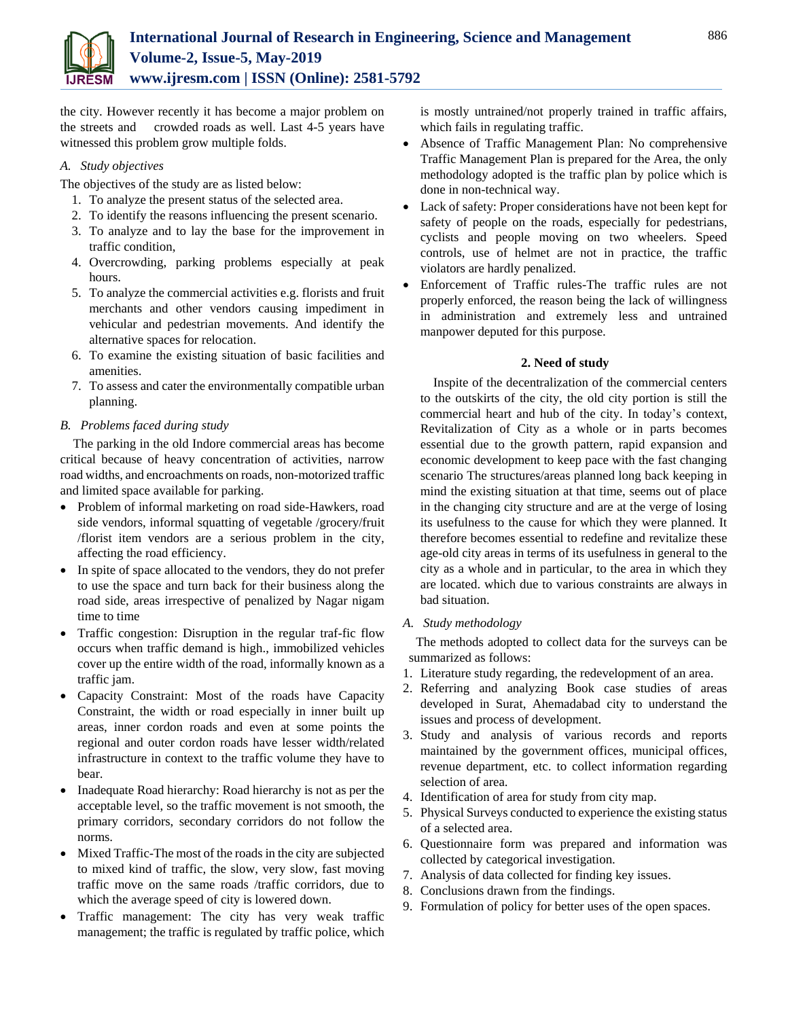

the city. However recently it has become a major problem on the streets and crowded roads as well. Last 4-5 years have witnessed this problem grow multiple folds.

# *A. Study objectives*

The objectives of the study are as listed below:

- 1. To analyze the present status of the selected area.
- 2. To identify the reasons influencing the present scenario.
- 3. To analyze and to lay the base for the improvement in traffic condition,
- 4. Overcrowding, parking problems especially at peak hours.
- 5. To analyze the commercial activities e.g. florists and fruit merchants and other vendors causing impediment in vehicular and pedestrian movements. And identify the alternative spaces for relocation.
- 6. To examine the existing situation of basic facilities and amenities.
- 7. To assess and cater the environmentally compatible urban planning.

# *B. Problems faced during study*

The parking in the old Indore commercial areas has become critical because of heavy concentration of activities, narrow road widths, and encroachments on roads, non-motorized traffic and limited space available for parking.

- Problem of informal marketing on road side-Hawkers, road side vendors, informal squatting of vegetable /grocery/fruit /florist item vendors are a serious problem in the city, affecting the road efficiency.
- In spite of space allocated to the vendors, they do not prefer to use the space and turn back for their business along the road side, areas irrespective of penalized by Nagar nigam time to time
- Traffic congestion: Disruption in the regular traf-fic flow occurs when traffic demand is high., immobilized vehicles cover up the entire width of the road, informally known as a traffic jam.
- Capacity Constraint: Most of the roads have Capacity Constraint, the width or road especially in inner built up areas, inner cordon roads and even at some points the regional and outer cordon roads have lesser width/related infrastructure in context to the traffic volume they have to bear.
- Inadequate Road hierarchy: Road hierarchy is not as per the acceptable level, so the traffic movement is not smooth, the primary corridors, secondary corridors do not follow the norms.
- Mixed Traffic-The most of the roads in the city are subjected to mixed kind of traffic, the slow, very slow, fast moving traffic move on the same roads /traffic corridors, due to which the average speed of city is lowered down.
- Traffic management: The city has very weak traffic management; the traffic is regulated by traffic police, which

is mostly untrained/not properly trained in traffic affairs, which fails in regulating traffic.

- Absence of Traffic Management Plan: No comprehensive Traffic Management Plan is prepared for the Area, the only methodology adopted is the traffic plan by police which is done in non-technical way.
- Lack of safety: Proper considerations have not been kept for safety of people on the roads, especially for pedestrians, cyclists and people moving on two wheelers. Speed controls, use of helmet are not in practice, the traffic violators are hardly penalized.
- Enforcement of Traffic rules-The traffic rules are not properly enforced, the reason being the lack of willingness in administration and extremely less and untrained manpower deputed for this purpose.

# **2. Need of study**

Inspite of the decentralization of the commercial centers to the outskirts of the city, the old city portion is still the commercial heart and hub of the city. In today's context, Revitalization of City as a whole or in parts becomes essential due to the growth pattern, rapid expansion and economic development to keep pace with the fast changing scenario The structures/areas planned long back keeping in mind the existing situation at that time, seems out of place in the changing city structure and are at the verge of losing its usefulness to the cause for which they were planned. It therefore becomes essential to redefine and revitalize these age-old city areas in terms of its usefulness in general to the city as a whole and in particular, to the area in which they are located. which due to various constraints are always in bad situation.

*A. Study methodology*

The methods adopted to collect data for the surveys can be summarized as follows:

- 1. Literature study regarding, the redevelopment of an area.
- 2. Referring and analyzing Book case studies of areas developed in Surat, Ahemadabad city to understand the issues and process of development.
- 3. Study and analysis of various records and reports maintained by the government offices, municipal offices, revenue department, etc. to collect information regarding selection of area.
- 4. Identification of area for study from city map.
- 5. Physical Surveys conducted to experience the existing status of a selected area.
- 6. Questionnaire form was prepared and information was collected by categorical investigation.
- 7. Analysis of data collected for finding key issues.
- 8. Conclusions drawn from the findings.
- 9. Formulation of policy for better uses of the open spaces.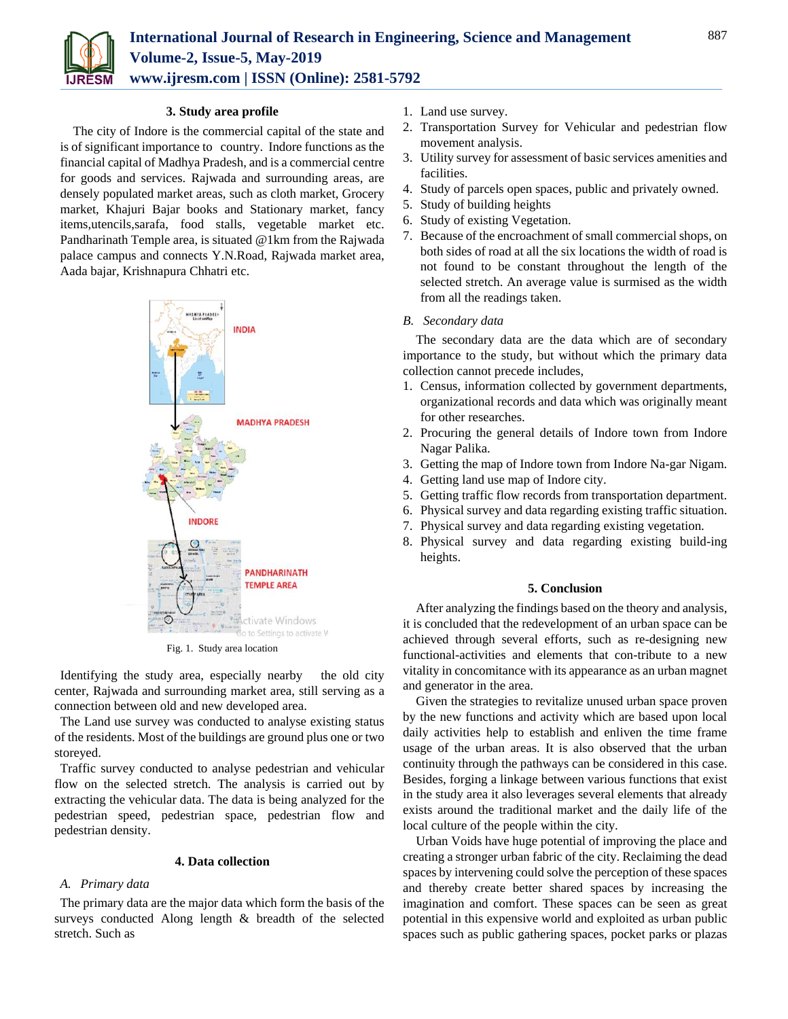

## **3. Study area profile**

The city of Indore is the commercial capital of the state and is of significant importance to country. Indore functions as the financial capital of Madhya Pradesh, and is a commercial centre for goods and services. Rajwada and surrounding areas, are densely populated market areas, such as cloth market, Grocery market, Khajuri Bajar books and Stationary market, fancy items,utencils,sarafa, food stalls, vegetable market etc. Pandharinath Temple area, is situated @1km from the Rajwada palace campus and connects Y.N.Road, Rajwada market area, Aada bajar, Krishnapura Chhatri etc.



Fig. 1. Study area location

Identifying the study area, especially nearby the old city center, Rajwada and surrounding market area, still serving as a connection between old and new developed area.

The Land use survey was conducted to analyse existing status of the residents. Most of the buildings are ground plus one or two storeyed.

Traffic survey conducted to analyse pedestrian and vehicular flow on the selected stretch. The analysis is carried out by extracting the vehicular data. The data is being analyzed for the pedestrian speed, pedestrian space, pedestrian flow and pedestrian density.

## **4. Data collection**

#### *A. Primary data*

The primary data are the major data which form the basis of the surveys conducted Along length & breadth of the selected stretch. Such as

- 1. Land use survey.
- 2. Transportation Survey for Vehicular and pedestrian flow movement analysis.
- 3. Utility survey for assessment of basic services amenities and facilities.
- 4. Study of parcels open spaces, public and privately owned.
- 5. Study of building heights
- 6. Study of existing Vegetation.
- 7. Because of the encroachment of small commercial shops, on both sides of road at all the six locations the width of road is not found to be constant throughout the length of the selected stretch. An average value is surmised as the width from all the readings taken.

#### *B. Secondary data*

The secondary data are the data which are of secondary importance to the study, but without which the primary data collection cannot precede includes,

- 1. Census, information collected by government departments, organizational records and data which was originally meant for other researches.
- 2. Procuring the general details of Indore town from Indore Nagar Palika.
- 3. Getting the map of Indore town from Indore Na-gar Nigam.
- 4. Getting land use map of Indore city.
- 5. Getting traffic flow records from transportation department.
- 6. Physical survey and data regarding existing traffic situation.
- 7. Physical survey and data regarding existing vegetation.
- 8. Physical survey and data regarding existing build-ing heights.

## **5. Conclusion**

After analyzing the findings based on the theory and analysis, it is concluded that the redevelopment of an urban space can be achieved through several efforts, such as re-designing new functional-activities and elements that con-tribute to a new vitality in concomitance with its appearance as an urban magnet and generator in the area.

Given the strategies to revitalize unused urban space proven by the new functions and activity which are based upon local daily activities help to establish and enliven the time frame usage of the urban areas. It is also observed that the urban continuity through the pathways can be considered in this case. Besides, forging a linkage between various functions that exist in the study area it also leverages several elements that already exists around the traditional market and the daily life of the local culture of the people within the city.

Urban Voids have huge potential of improving the place and creating a stronger urban fabric of the city. Reclaiming the dead spaces by intervening could solve the perception of these spaces and thereby create better shared spaces by increasing the imagination and comfort. These spaces can be seen as great potential in this expensive world and exploited as urban public spaces such as public gathering spaces, pocket parks or plazas